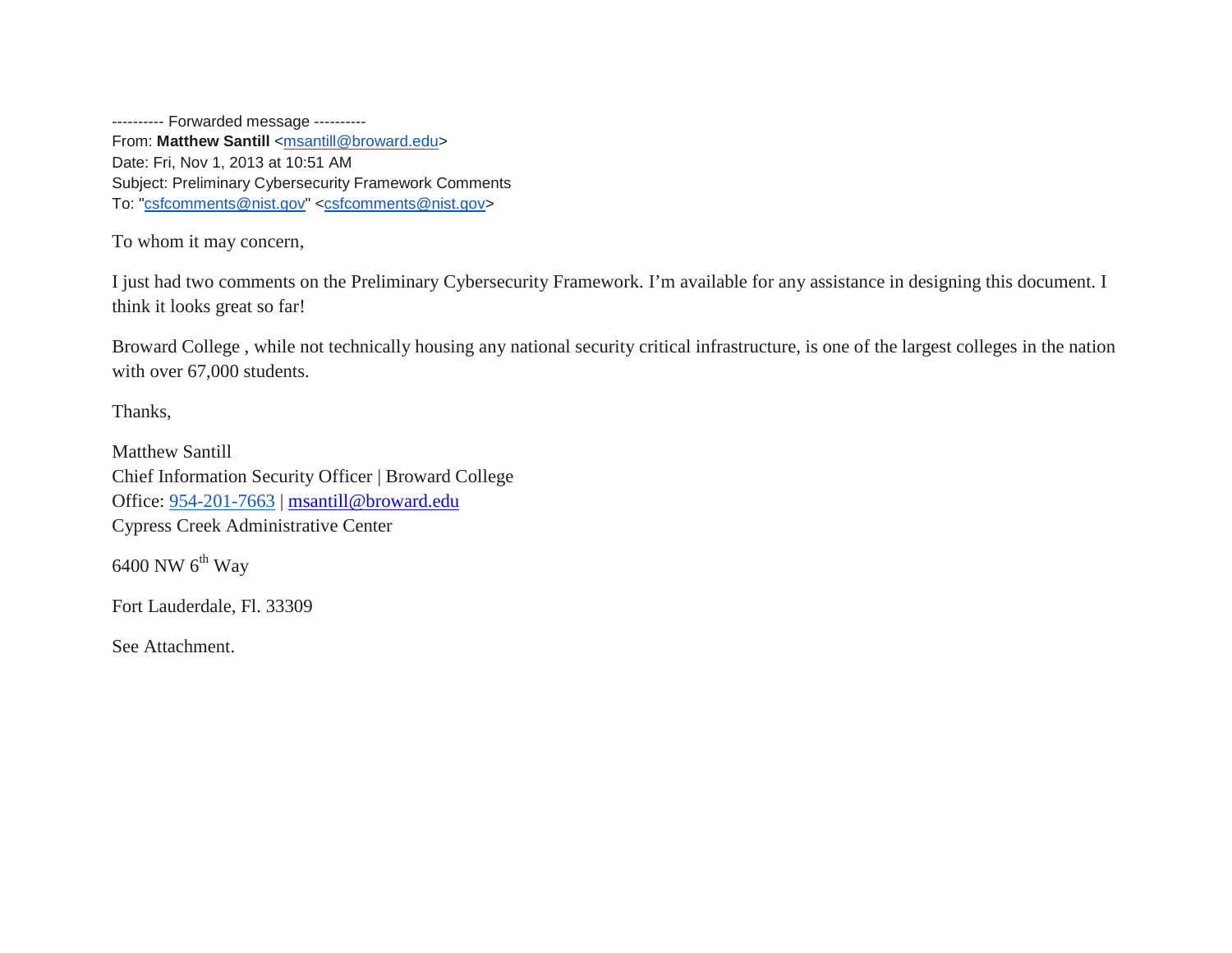---------- Forwarded message ---------- From: Matthew Santill [<msantill@broward.edu>](mailto:msantill@broward.edu) Date: Fri, Nov 1, 2013 at 10:51 AM Subject: Preliminary Cybersecurity Framework Comments To: ["csfcomments@nist.gov"](mailto:csfcomments@nist.gov) [<csfcomments@nist.gov>](mailto:csfcomments@nist.gov)

To whom it may concern,

I just had two comments on the Preliminary Cybersecurity Framework. I'm available for any assistance in designing this document. I think it looks great so far!

Broward College , while not technically housing any national security critical infrastructure, is one of the largest colleges in the nation with over 67,000 students.

Thanks,

Matthew Santill Chief Information Security Officer | Broward College Office: 954-201-7663 | [msantill@broward.edu](mailto:msantill@broward.edu) Cypress Creek Administrative Center

 $6400$  NW  $6<sup>th</sup>$  Way

Fort Lauderdale, Fl. 33309

See Attachment.